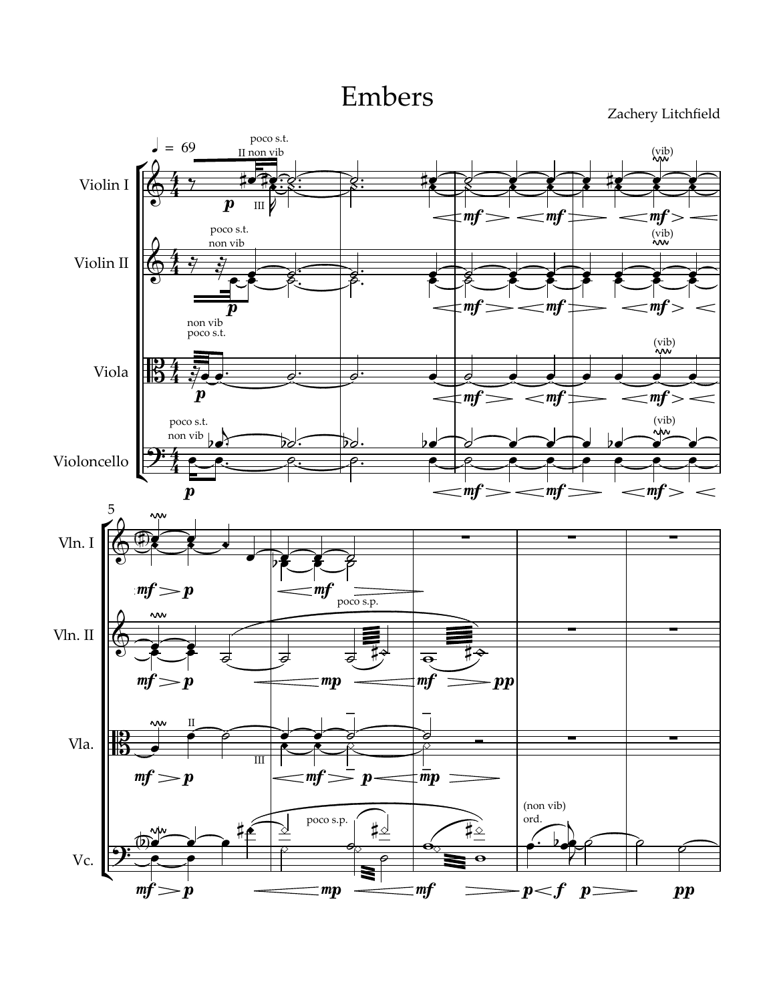## Embers

Zachery Litchfield

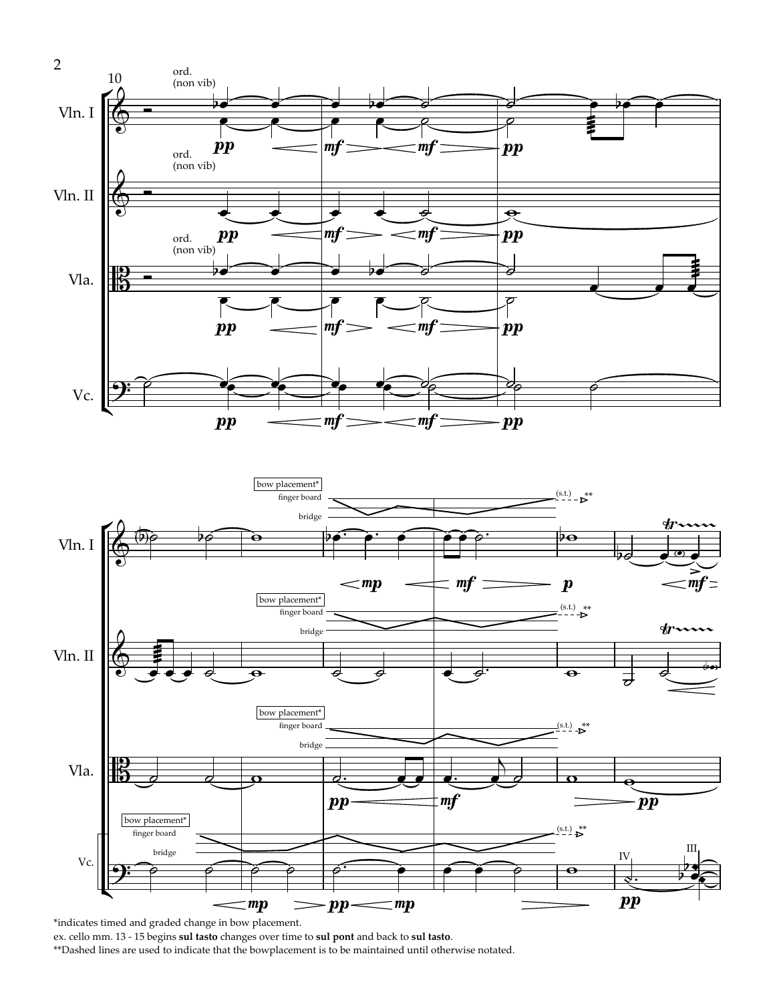

\*indicates timed and graded change in bow placement.

ex. cello mm. 13 - 15 begins **sul tasto** changes over time to **sul pont** and back to **sul tasto**.

\*\*Dashed lines are used to indicate that the bowplacement is to be maintained until otherwise notated.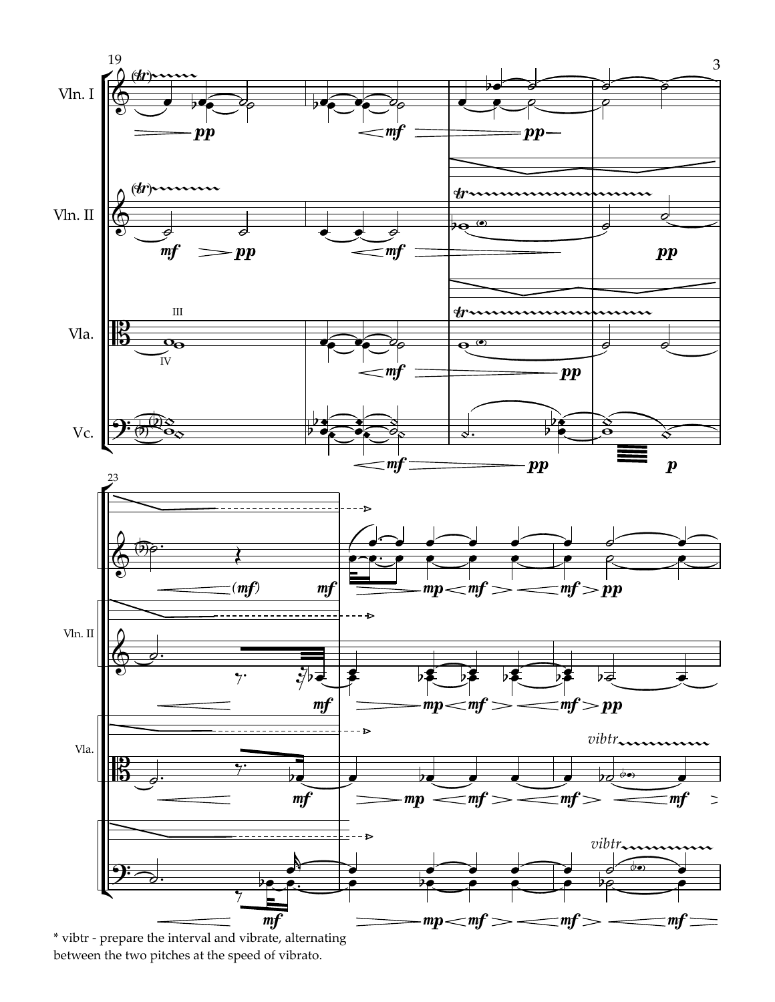

\* vibtr - prepare the interval and vibrate, alternating between the two pitches at the speed of vibrato.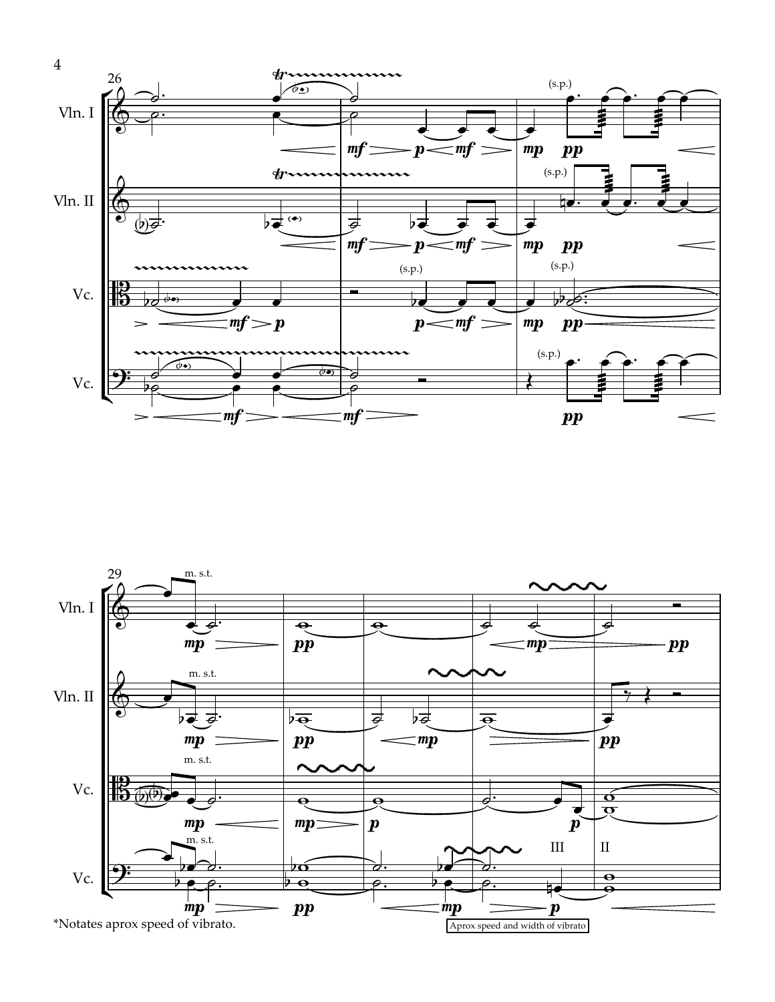

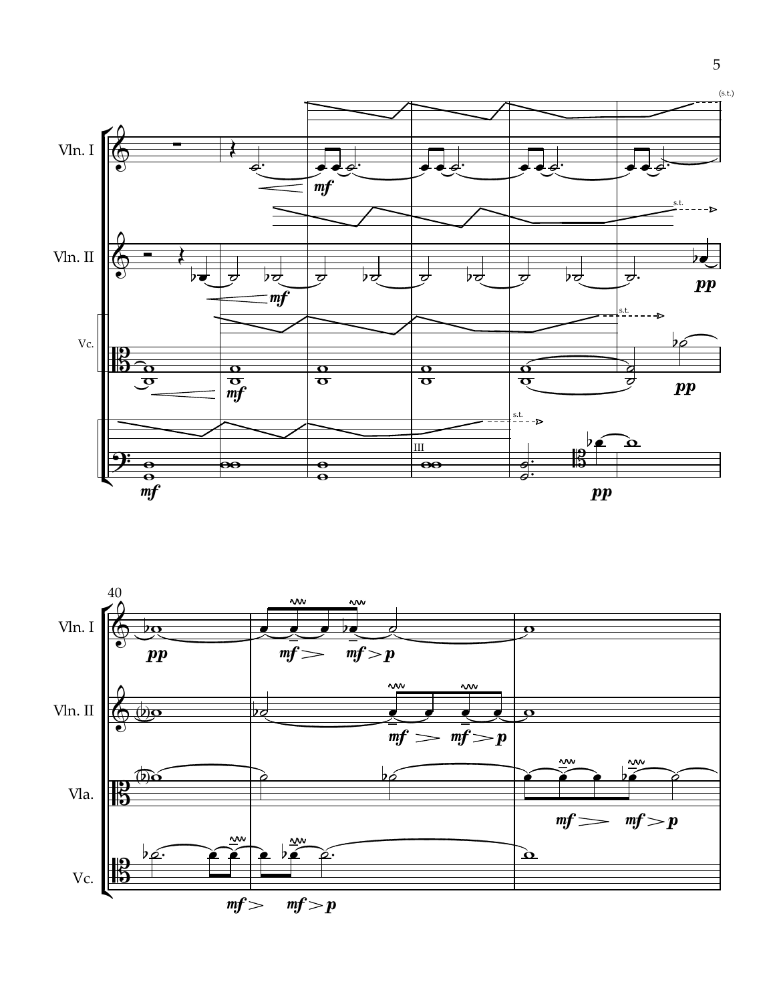

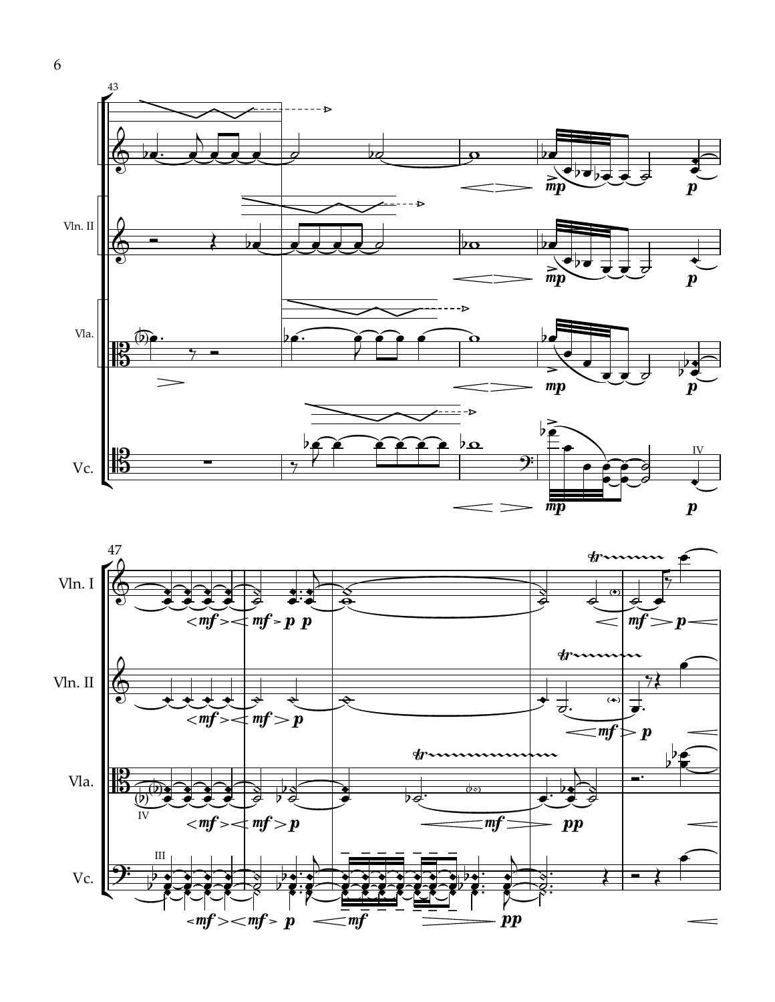

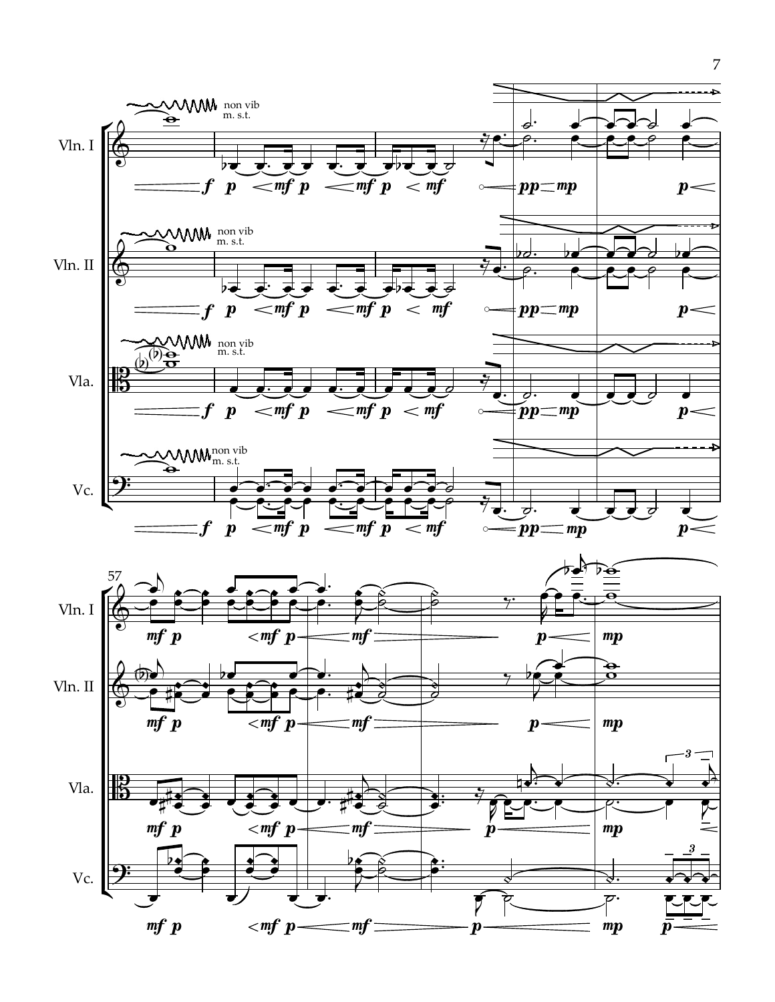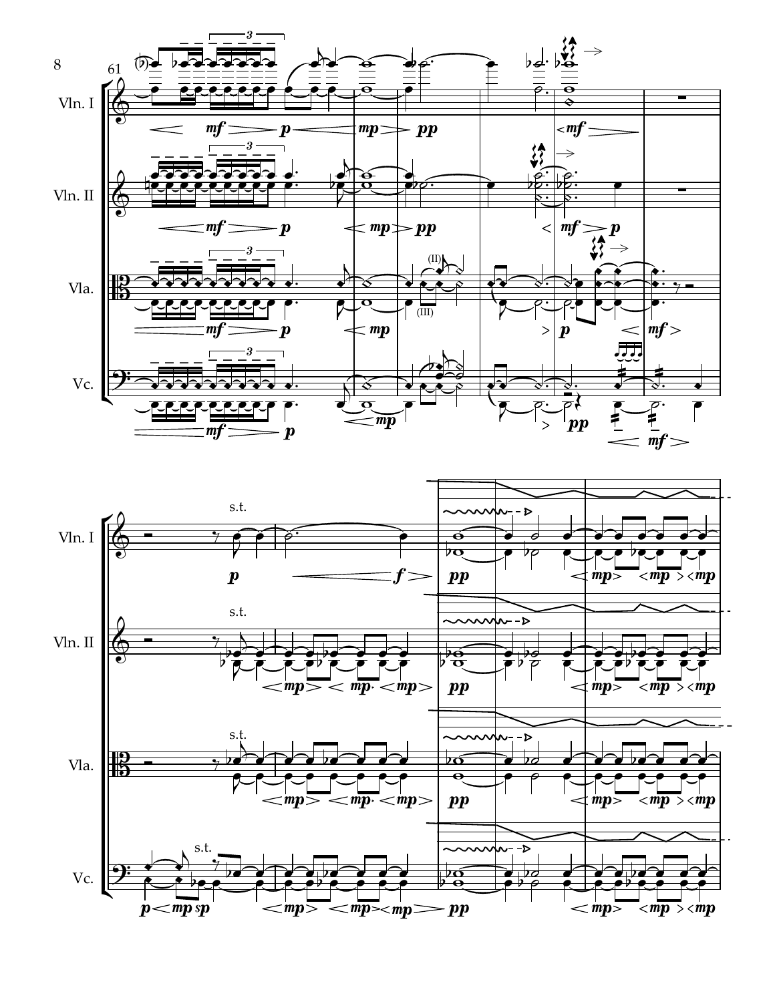

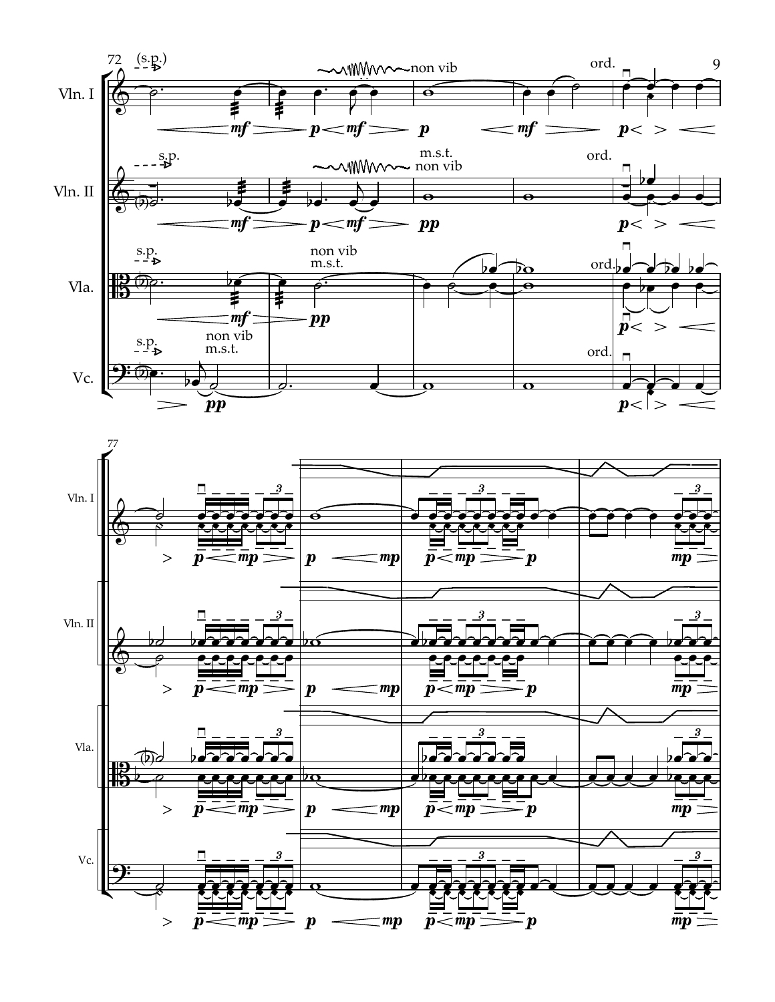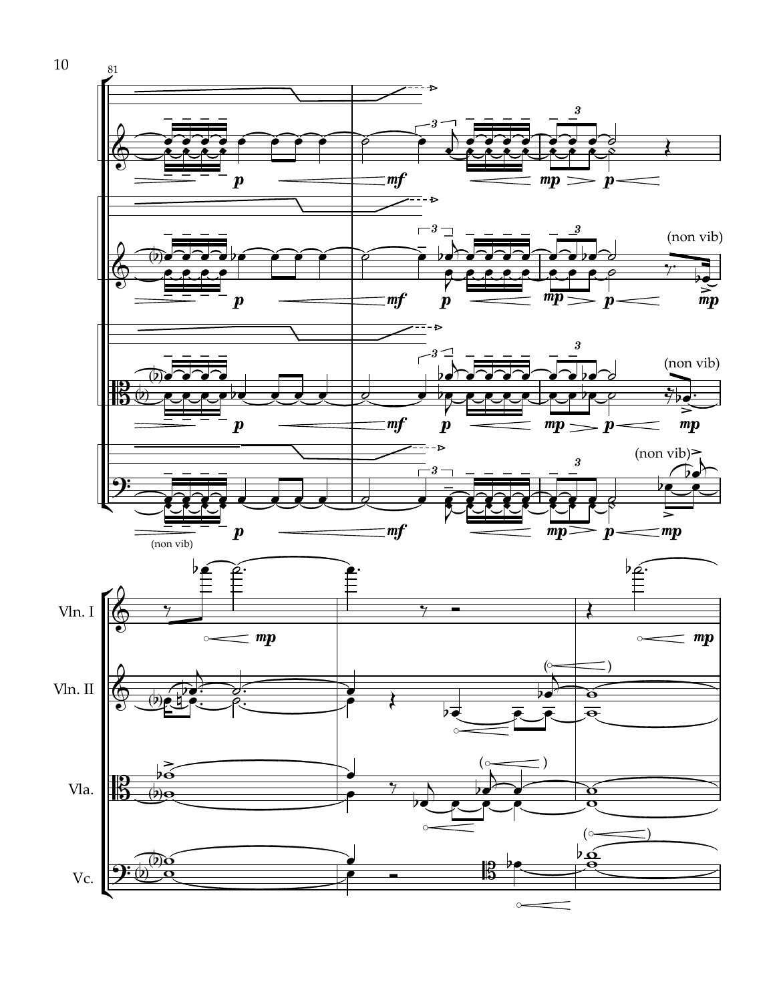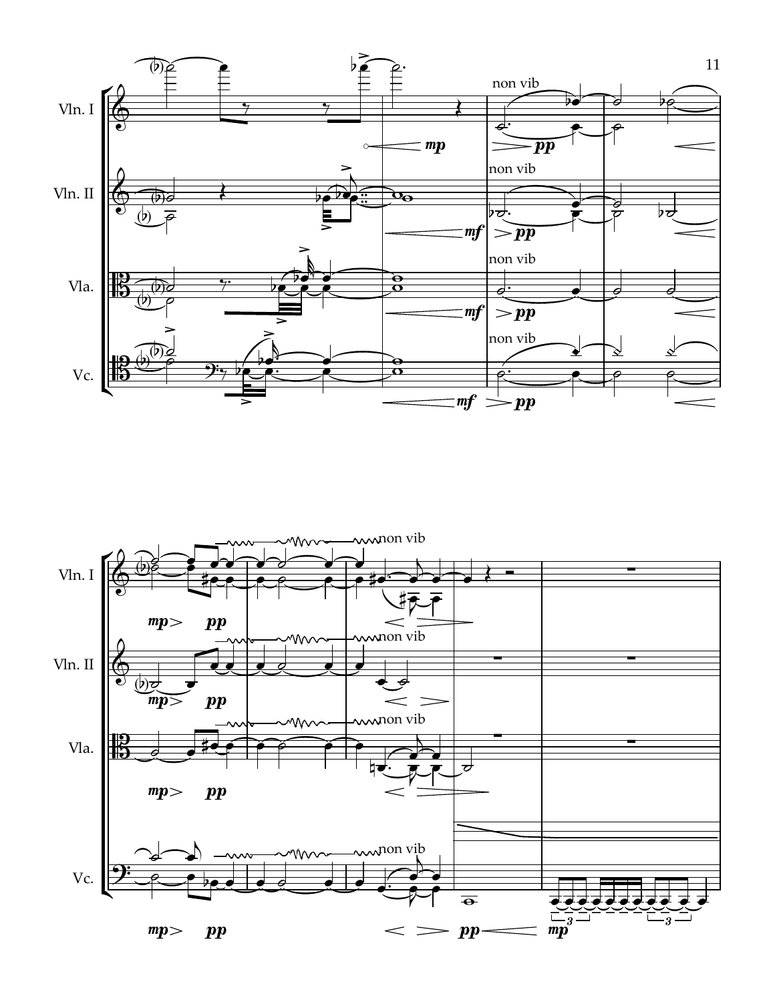

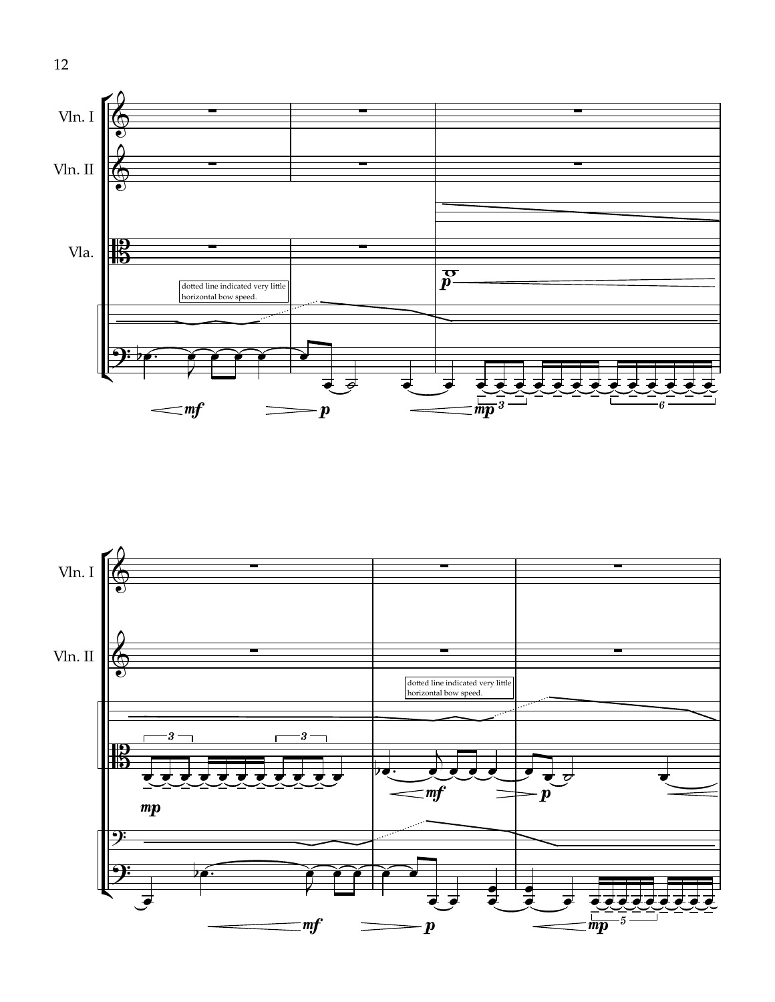

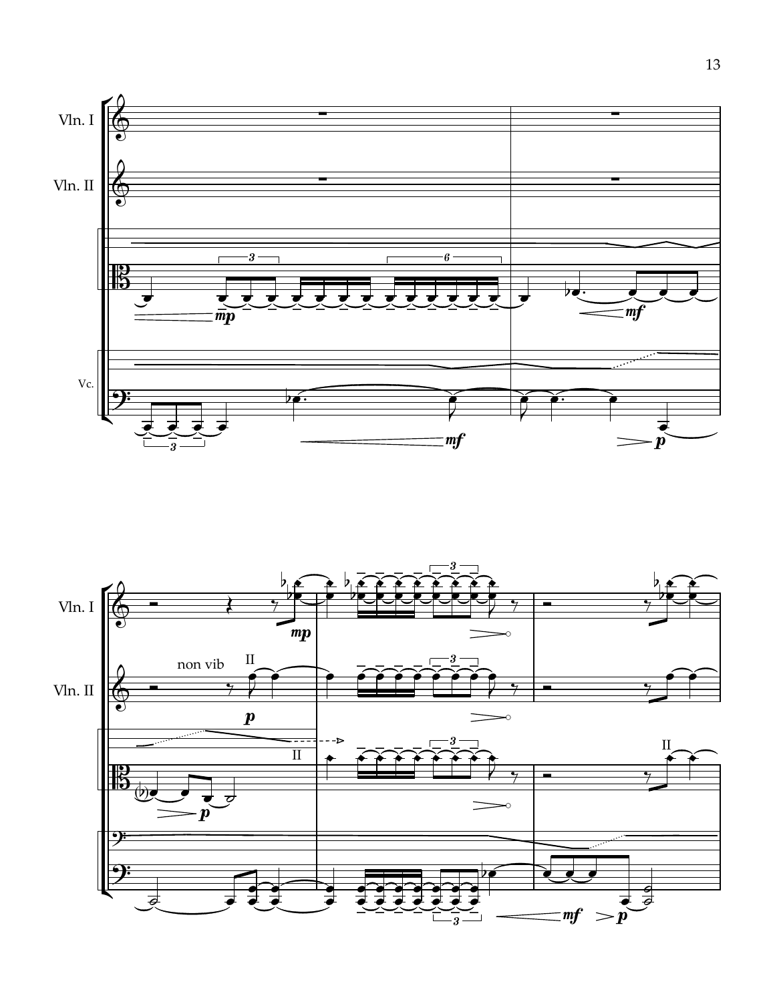